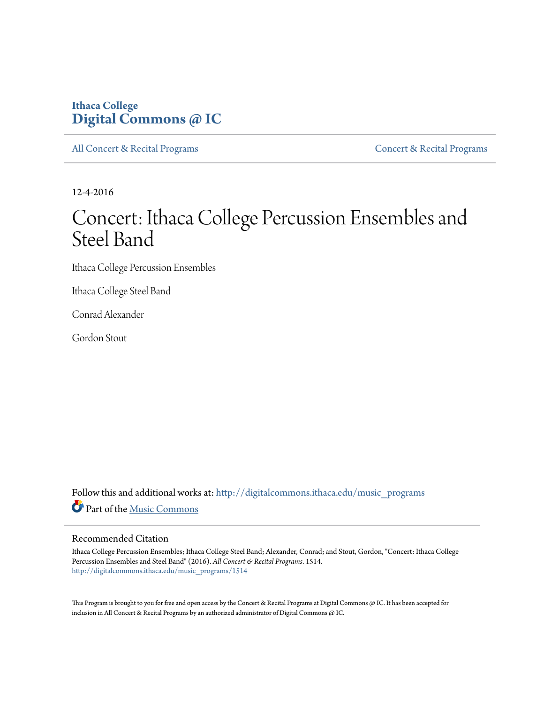## **Ithaca College [Digital Commons @ IC](http://digitalcommons.ithaca.edu?utm_source=digitalcommons.ithaca.edu%2Fmusic_programs%2F1514&utm_medium=PDF&utm_campaign=PDFCoverPages)**

[All Concert & Recital Programs](http://digitalcommons.ithaca.edu/music_programs?utm_source=digitalcommons.ithaca.edu%2Fmusic_programs%2F1514&utm_medium=PDF&utm_campaign=PDFCoverPages) **[Concert & Recital Programs](http://digitalcommons.ithaca.edu/som_programs?utm_source=digitalcommons.ithaca.edu%2Fmusic_programs%2F1514&utm_medium=PDF&utm_campaign=PDFCoverPages)** Concert & Recital Programs

12-4-2016

# Concert: Ithaca College Percussion Ensembles and Steel Band

Ithaca College Percussion Ensembles

Ithaca College Steel Band

Conrad Alexander

Gordon Stout

Follow this and additional works at: [http://digitalcommons.ithaca.edu/music\\_programs](http://digitalcommons.ithaca.edu/music_programs?utm_source=digitalcommons.ithaca.edu%2Fmusic_programs%2F1514&utm_medium=PDF&utm_campaign=PDFCoverPages) Part of the [Music Commons](http://network.bepress.com/hgg/discipline/518?utm_source=digitalcommons.ithaca.edu%2Fmusic_programs%2F1514&utm_medium=PDF&utm_campaign=PDFCoverPages)

#### Recommended Citation

Ithaca College Percussion Ensembles; Ithaca College Steel Band; Alexander, Conrad; and Stout, Gordon, "Concert: Ithaca College Percussion Ensembles and Steel Band" (2016). *All Concert & Recital Programs*. 1514. [http://digitalcommons.ithaca.edu/music\\_programs/1514](http://digitalcommons.ithaca.edu/music_programs/1514?utm_source=digitalcommons.ithaca.edu%2Fmusic_programs%2F1514&utm_medium=PDF&utm_campaign=PDFCoverPages)

This Program is brought to you for free and open access by the Concert & Recital Programs at Digital Commons @ IC. It has been accepted for inclusion in All Concert & Recital Programs by an authorized administrator of Digital Commons @ IC.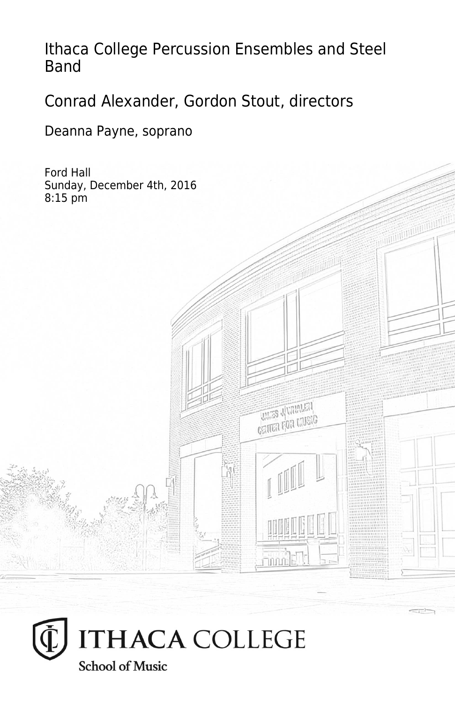Ithaca College Percussion Ensembles and Steel Band

> **THES JUMPLEY CRITER FOR LIVEIG**

**Finning** 

Conrad Alexander, Gordon Stout, directors

Deanna Payne, soprano

Ford Hall Sunday, December 4th, 2016 8:15 pm

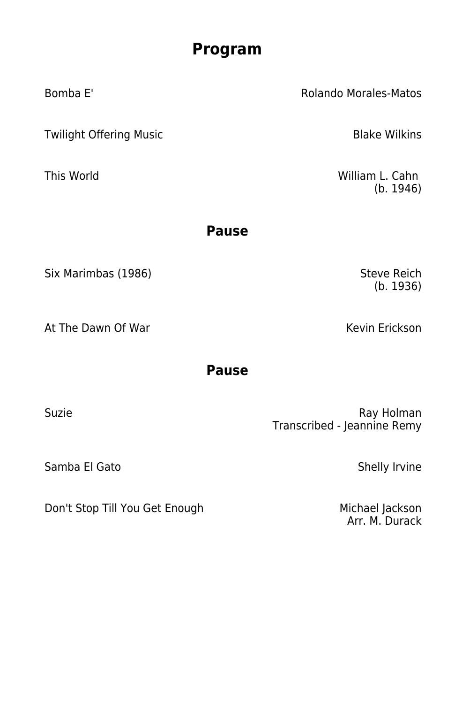## **Program**

Bomba E' Rolando Morales-Matos Twilight Offering Music **Blake Wilkins** This World **William L. Cahn Pause** Six Marimbas (1986) Six Marimbas (1986)

At The Dawn Of War Kevin Erickson

### **Pause**

Suzie **Ray Holman** Transcribed - Jeannine Remy

Samba El Gato Shelly Irvine

Don't Stop Till You Get Enough Michael Jackson

Arr. M. Durack

(b. 1936)

(b. 1946)